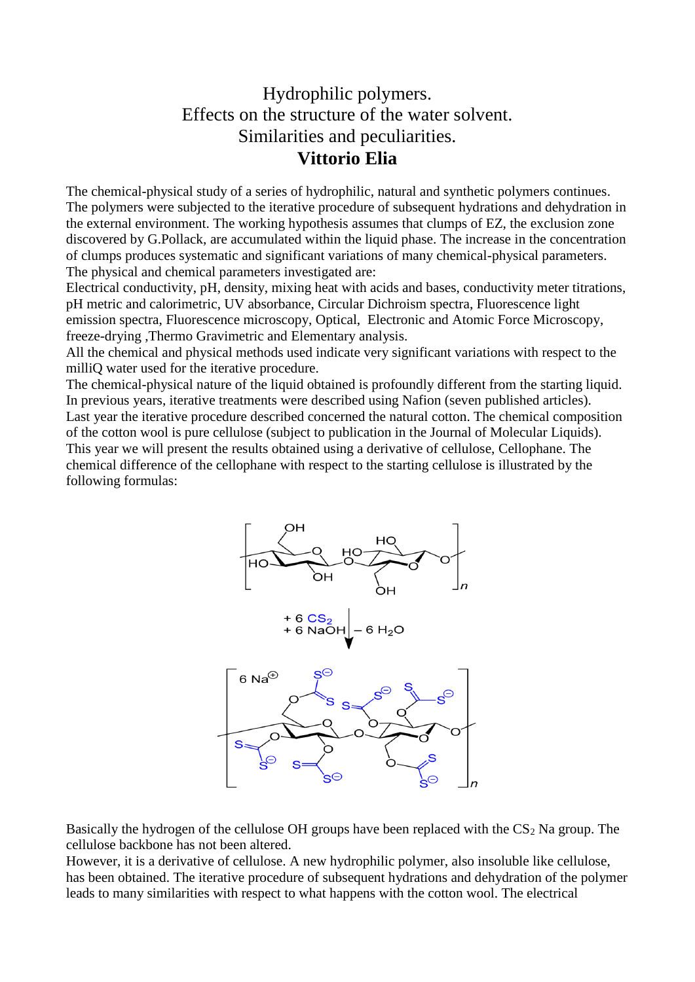## Hydrophilic polymers. Effects on the structure of the water solvent. Similarities and peculiarities. **Vittorio Elia**

The chemical-physical study of a series of hydrophilic, natural and synthetic polymers continues. The polymers were subjected to the iterative procedure of subsequent hydrations and dehydration in the external environment. The working hypothesis assumes that clumps of EZ, the exclusion zone discovered by G.Pollack, are accumulated within the liquid phase. The increase in the concentration of clumps produces systematic and significant variations of many chemical-physical parameters. The physical and chemical parameters investigated are:

Electrical conductivity, pH, density, mixing heat with acids and bases, conductivity meter titrations, pH metric and calorimetric, UV absorbance, Circular Dichroism spectra, Fluorescence light emission spectra, Fluorescence microscopy, Optical, Electronic and Atomic Force Microscopy, freeze-drying ,Thermo Gravimetric and Elementary analysis.

All the chemical and physical methods used indicate very significant variations with respect to the milliQ water used for the iterative procedure.

The chemical-physical nature of the liquid obtained is profoundly different from the starting liquid. In previous years, iterative treatments were described using Nafion (seven published articles). Last year the iterative procedure described concerned the natural cotton. The chemical composition of the cotton wool is pure cellulose (subject to publication in the Journal of Molecular Liquids). This year we will present the results obtained using a derivative of cellulose, Cellophane. The chemical difference of the cellophane with respect to the starting cellulose is illustrated by the following formulas:



Basically the hydrogen of the cellulose OH groups have been replaced with the  $CS<sub>2</sub>$  Na group. The cellulose backbone has not been altered.

However, it is a derivative of cellulose. A new hydrophilic polymer, also insoluble like cellulose, has been obtained. The iterative procedure of subsequent hydrations and dehydration of the polymer leads to many similarities with respect to what happens with the cotton wool. The electrical